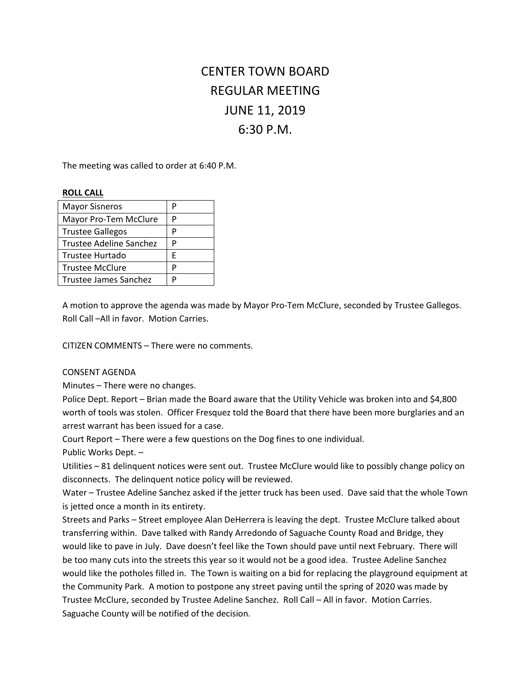# CENTER TOWN BOARD REGULAR MEETING JUNE 11, 2019 6:30 P.M.

The meeting was called to order at 6:40 P.M.

#### **ROLL CALL**

| <b>Mayor Sisneros</b>   | P |
|-------------------------|---|
| Mayor Pro-Tem McClure   | P |
| <b>Trustee Gallegos</b> | P |
| Trustee Adeline Sanchez | P |
| <b>Trustee Hurtado</b>  | F |
| <b>Trustee McClure</b>  | P |
| Trustee James Sanchez   | D |

A motion to approve the agenda was made by Mayor Pro-Tem McClure, seconded by Trustee Gallegos. Roll Call –All in favor. Motion Carries.

CITIZEN COMMENTS – There were no comments.

### CONSENT AGENDA

Minutes – There were no changes.

Police Dept. Report – Brian made the Board aware that the Utility Vehicle was broken into and \$4,800 worth of tools was stolen. Officer Fresquez told the Board that there have been more burglaries and an arrest warrant has been issued for a case.

Court Report – There were a few questions on the Dog fines to one individual.

Public Works Dept. –

Utilities – 81 delinquent notices were sent out. Trustee McClure would like to possibly change policy on disconnects. The delinquent notice policy will be reviewed.

Water – Trustee Adeline Sanchez asked if the jetter truck has been used. Dave said that the whole Town is jetted once a month in its entirety.

Streets and Parks – Street employee Alan DeHerrera is leaving the dept. Trustee McClure talked about transferring within. Dave talked with Randy Arredondo of Saguache County Road and Bridge, they would like to pave in July. Dave doesn't feel like the Town should pave until next February. There will be too many cuts into the streets this year so it would not be a good idea. Trustee Adeline Sanchez would like the potholes filled in. The Town is waiting on a bid for replacing the playground equipment at the Community Park. A motion to postpone any street paving until the spring of 2020 was made by Trustee McClure, seconded by Trustee Adeline Sanchez. Roll Call – All in favor. Motion Carries. Saguache County will be notified of the decision.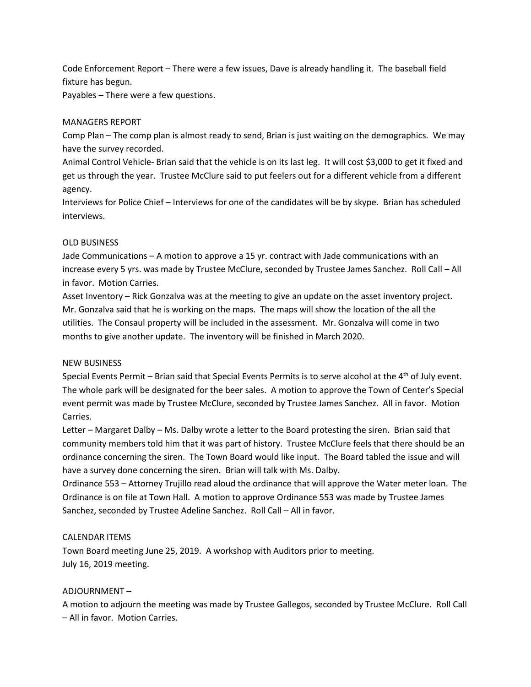Code Enforcement Report – There were a few issues, Dave is already handling it. The baseball field fixture has begun.

Payables – There were a few questions.

## MANAGERS REPORT

Comp Plan – The comp plan is almost ready to send, Brian is just waiting on the demographics. We may have the survey recorded.

Animal Control Vehicle- Brian said that the vehicle is on its last leg. It will cost \$3,000 to get it fixed and get us through the year. Trustee McClure said to put feelers out for a different vehicle from a different agency.

Interviews for Police Chief – Interviews for one of the candidates will be by skype. Brian has scheduled interviews.

## OLD BUSINESS

Jade Communications – A motion to approve a 15 yr. contract with Jade communications with an increase every 5 yrs. was made by Trustee McClure, seconded by Trustee James Sanchez. Roll Call – All in favor. Motion Carries.

Asset Inventory – Rick Gonzalva was at the meeting to give an update on the asset inventory project. Mr. Gonzalva said that he is working on the maps. The maps will show the location of the all the utilities. The Consaul property will be included in the assessment. Mr. Gonzalva will come in two months to give another update. The inventory will be finished in March 2020.

### NEW BUSINESS

Special Events Permit - Brian said that Special Events Permits is to serve alcohol at the 4<sup>th</sup> of July event. The whole park will be designated for the beer sales. A motion to approve the Town of Center's Special event permit was made by Trustee McClure, seconded by Trustee James Sanchez. All in favor. Motion Carries.

Letter – Margaret Dalby – Ms. Dalby wrote a letter to the Board protesting the siren. Brian said that community members told him that it was part of history. Trustee McClure feels that there should be an ordinance concerning the siren. The Town Board would like input. The Board tabled the issue and will have a survey done concerning the siren. Brian will talk with Ms. Dalby.

Ordinance 553 – Attorney Trujillo read aloud the ordinance that will approve the Water meter loan. The Ordinance is on file at Town Hall. A motion to approve Ordinance 553 was made by Trustee James Sanchez, seconded by Trustee Adeline Sanchez. Roll Call – All in favor.

# CALENDAR ITEMS

Town Board meeting June 25, 2019. A workshop with Auditors prior to meeting. July 16, 2019 meeting.

# ADJOURNMENT –

A motion to adjourn the meeting was made by Trustee Gallegos, seconded by Trustee McClure. Roll Call – All in favor. Motion Carries.